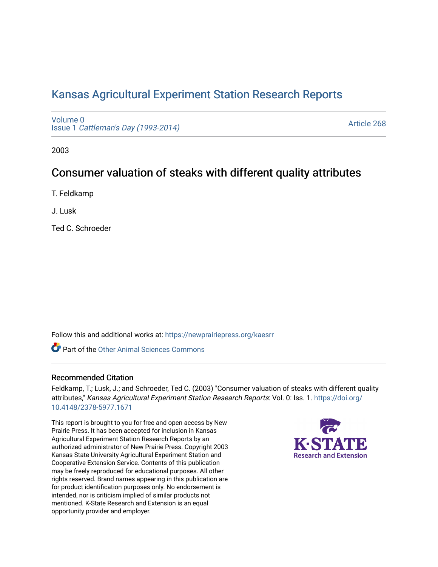# [Kansas Agricultural Experiment Station Research Reports](https://newprairiepress.org/kaesrr)

[Volume 0](https://newprairiepress.org/kaesrr/vol0) Issue 1 [Cattleman's Day \(1993-2014\)](https://newprairiepress.org/kaesrr/vol0/iss1) 

[Article 268](https://newprairiepress.org/kaesrr/vol0/iss1/268) 

2003

## Consumer valuation of steaks with different quality attributes

T. Feldkamp

J. Lusk

Ted C. Schroeder

Follow this and additional works at: [https://newprairiepress.org/kaesrr](https://newprairiepress.org/kaesrr?utm_source=newprairiepress.org%2Fkaesrr%2Fvol0%2Fiss1%2F268&utm_medium=PDF&utm_campaign=PDFCoverPages) 

**C** Part of the [Other Animal Sciences Commons](http://network.bepress.com/hgg/discipline/82?utm_source=newprairiepress.org%2Fkaesrr%2Fvol0%2Fiss1%2F268&utm_medium=PDF&utm_campaign=PDFCoverPages)

#### Recommended Citation

Feldkamp, T.; Lusk, J.; and Schroeder, Ted C. (2003) "Consumer valuation of steaks with different quality attributes," Kansas Agricultural Experiment Station Research Reports: Vol. 0: Iss. 1. [https://doi.org/](https://doi.org/10.4148/2378-5977.1671) [10.4148/2378-5977.1671](https://doi.org/10.4148/2378-5977.1671)

This report is brought to you for free and open access by New Prairie Press. It has been accepted for inclusion in Kansas Agricultural Experiment Station Research Reports by an authorized administrator of New Prairie Press. Copyright 2003 Kansas State University Agricultural Experiment Station and Cooperative Extension Service. Contents of this publication may be freely reproduced for educational purposes. All other rights reserved. Brand names appearing in this publication are for product identification purposes only. No endorsement is intended, nor is criticism implied of similar products not mentioned. K-State Research and Extension is an equal opportunity provider and employer.

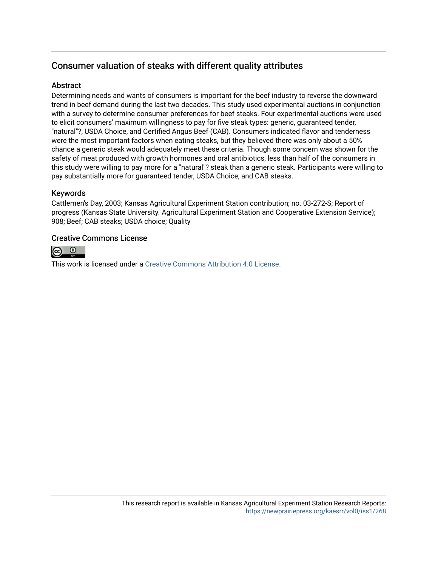## Consumer valuation of steaks with different quality attributes

#### **Abstract**

Determining needs and wants of consumers is important for the beef industry to reverse the downward trend in beef demand during the last two decades. This study used experimental auctions in conjunction with a survey to determine consumer preferences for beef steaks. Four experimental auctions were used to elicit consumers' maximum willingness to pay for five steak types: generic, guaranteed tender, "natural"?, USDA Choice, and Certified Angus Beef (CAB). Consumers indicated flavor and tenderness were the most important factors when eating steaks, but they believed there was only about a 50% chance a generic steak would adequately meet these criteria. Though some concern was shown for the safety of meat produced with growth hormones and oral antibiotics, less than half of the consumers in this study were willing to pay more for a "natural"? steak than a generic steak. Participants were willing to pay substantially more for guaranteed tender, USDA Choice, and CAB steaks.

## Keywords

Cattlemen's Day, 2003; Kansas Agricultural Experiment Station contribution; no. 03-272-S; Report of progress (Kansas State University. Agricultural Experiment Station and Cooperative Extension Service); 908; Beef; CAB steaks; USDA choice; Quality

#### Creative Commons License



This work is licensed under a [Creative Commons Attribution 4.0 License](https://creativecommons.org/licenses/by/4.0/).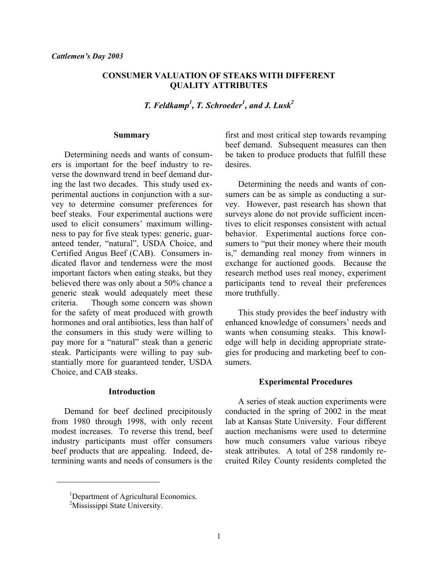### **CONSUMER VALUATION OF STEAKS WITH DIFFERENT QUALITY ATTRIBUTES**

*T. Feldkamp1 , T. Schroeder<sup>1</sup> , and J. Lusk2* 

#### **Summary**

Determining needs and wants of consumers is important for the beef industry to reverse the downward trend in beef demand during the last two decades. This study used experimental auctions in conjunction with a survey to determine consumer preferences for beef steaks. Four experimental auctions were used to elicit consumers' maximum willingness to pay for five steak types: generic, guaranteed tender, "natural", USDA Choice, and Certified Angus Beef (CAB). Consumers indicated flavor and tenderness were the most important factors when eating steaks, but they believed there was only about a 50% chance a generic steak would adequately meet these criteria. Though some concern was shown for the safety of meat produced with growth hormones and oral antibiotics, less than half of the consumers in this study were willing to pay more for a "natural" steak than a generic steak. Participants were willing to pay substantially more for guaranteed tender, USDA Choice, and CAB steaks.

#### **Introduction**

Demand for beef declined precipitously from 1980 through 1998, with only recent modest increases. To reverse this trend, beef industry participants must offer consumers beef products that are appealing. Indeed, determining wants and needs of consumers is the

first and most critical step towards revamping beef demand. Subsequent measures can then be taken to produce products that fulfill these desires.

 Determining the needs and wants of consumers can be as simple as conducting a survey. However, past research has shown that surveys alone do not provide sufficient incentives to elicit responses consistent with actual behavior. Experimental auctions force consumers to "put their money where their mouth is," demanding real money from winners in exchange for auctioned goods. Because the research method uses real money, experiment participants tend to reveal their preferences more truthfully.

 This study provides the beef industry with enhanced knowledge of consumers' needs and wants when consuming steaks. This knowledge will help in deciding appropriate strategies for producing and marketing beef to consumers.

#### **Experimental Procedures**

 A series of steak auction experiments were conducted in the spring of 2002 in the meat lab at Kansas State University. Four different auction mechanisms were used to determine how much consumers value various ribeye steak attributes. A total of 258 randomly recruited Riley County residents completed the

 $\overline{a}$ 

<sup>&</sup>lt;sup>1</sup>Department of Agricultural Economics.

<sup>&</sup>lt;sup>2</sup>Mississippi State University.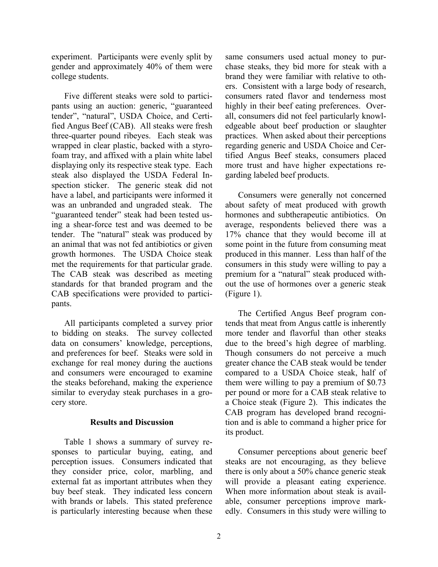experiment. Participants were evenly split by gender and approximately 40% of them were college students.

 Five different steaks were sold to participants using an auction: generic, "guaranteed tender", "natural", USDA Choice, and Certified Angus Beef (CAB). All steaks were fresh three-quarter pound ribeyes. Each steak was wrapped in clear plastic, backed with a styrofoam tray, and affixed with a plain white label displaying only its respective steak type. Each steak also displayed the USDA Federal Inspection sticker. The generic steak did not have a label, and participants were informed it was an unbranded and ungraded steak. The "guaranteed tender" steak had been tested using a shear-force test and was deemed to be tender. The "natural" steak was produced by an animal that was not fed antibiotics or given growth hormones. The USDA Choice steak met the requirements for that particular grade. The CAB steak was described as meeting standards for that branded program and the CAB specifications were provided to participants.

 All participants completed a survey prior to bidding on steaks. The survey collected data on consumers' knowledge, perceptions, and preferences for beef. Steaks were sold in exchange for real money during the auctions and consumers were encouraged to examine the steaks beforehand, making the experience similar to everyday steak purchases in a grocery store.

#### **Results and Discussion**

Table 1 shows a summary of survey responses to particular buying, eating, and perception issues. Consumers indicated that they consider price, color, marbling, and external fat as important attributes when they buy beef steak. They indicated less concern with brands or labels. This stated preference is particularly interesting because when these

same consumers used actual money to purchase steaks, they bid more for steak with a brand they were familiar with relative to others. Consistent with a large body of research, consumers rated flavor and tenderness most highly in their beef eating preferences. Overall, consumers did not feel particularly knowledgeable about beef production or slaughter practices. When asked about their perceptions regarding generic and USDA Choice and Certified Angus Beef steaks, consumers placed more trust and have higher expectations regarding labeled beef products.

 Consumers were generally not concerned about safety of meat produced with growth hormones and subtherapeutic antibiotics. On average, respondents believed there was a 17% chance that they would become ill at some point in the future from consuming meat produced in this manner. Less than half of the consumers in this study were willing to pay a premium for a "natural" steak produced without the use of hormones over a generic steak (Figure 1).

 The Certified Angus Beef program contends that meat from Angus cattle is inherently more tender and flavorful than other steaks due to the breed's high degree of marbling. Though consumers do not perceive a much greater chance the CAB steak would be tender compared to a USDA Choice steak, half of them were willing to pay a premium of \$0.73 per pound or more for a CAB steak relative to a Choice steak (Figure 2). This indicates the CAB program has developed brand recognition and is able to command a higher price for its product.

 Consumer perceptions about generic beef steaks are not encouraging, as they believe there is only about a 50% chance generic steak will provide a pleasant eating experience. When more information about steak is available, consumer perceptions improve markedly. Consumers in this study were willing to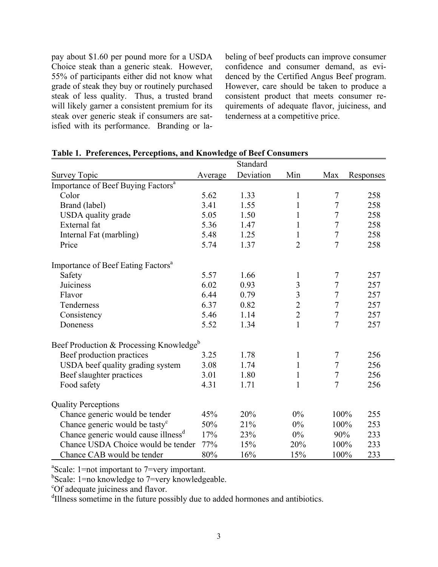pay about \$1.60 per pound more for a USDA Choice steak than a generic steak. However, 55% of participants either did not know what grade of steak they buy or routinely purchased steak of less quality. Thus, a trusted brand will likely garner a consistent premium for its steak over generic steak if consumers are satisfied with its performance. Branding or la-

beling of beef products can improve consumer confidence and consumer demand, as evidenced by the Certified Angus Beef program. However, care should be taken to produce a consistent product that meets consumer requirements of adequate flavor, juiciness, and tenderness at a competitive price.

|                                                     |         | Standard  |                         |                |           |
|-----------------------------------------------------|---------|-----------|-------------------------|----------------|-----------|
| <b>Survey Topic</b>                                 | Average | Deviation | Min                     | Max            | Responses |
| Importance of Beef Buying Factors <sup>a</sup>      |         |           |                         |                |           |
| Color                                               | 5.62    | 1.33      | $\mathbf{1}$            | $\overline{7}$ | 258       |
| Brand (label)                                       | 3.41    | 1.55      | $\mathbf{1}$            | 7              | 258       |
| USDA quality grade                                  | 5.05    | 1.50      | $\mathbf{1}$            | $\overline{7}$ | 258       |
| External fat                                        | 5.36    | 1.47      | $\mathbf{1}$            | $\overline{7}$ | 258       |
| Internal Fat (marbling)                             | 5.48    | 1.25      | $\mathbf{1}$            | $\overline{7}$ | 258       |
| Price                                               | 5.74    | 1.37      | $\overline{2}$          | $\overline{7}$ | 258       |
| Importance of Beef Eating Factors <sup>a</sup>      |         |           |                         |                |           |
| Safety                                              | 5.57    | 1.66      | $\mathbf{1}$            | 7              | 257       |
| Juiciness                                           | 6.02    | 0.93      | $\mathfrak{Z}$          | 7              | 257       |
| Flavor                                              | 6.44    | 0.79      | $\overline{\mathbf{3}}$ | $\overline{7}$ | 257       |
| Tenderness                                          | 6.37    | 0.82      | $\overline{c}$          | $\overline{7}$ | 257       |
| Consistency                                         | 5.46    | 1.14      | $\overline{2}$          | $\overline{7}$ | 257       |
| Doneness                                            | 5.52    | 1.34      | $\mathbf{1}$            | $\overline{7}$ | 257       |
| Beef Production & Processing Knowledge <sup>b</sup> |         |           |                         |                |           |
| Beef production practices                           | 3.25    | 1.78      | $\mathbf{1}$            | $\tau$         | 256       |
| USDA beef quality grading system                    | 3.08    | 1.74      | $\mathbf{1}$            | 7              | 256       |
| Beef slaughter practices                            | 3.01    | 1.80      | $\mathbf{1}$            | $\sqrt{ }$     | 256       |
| Food safety                                         | 4.31    | 1.71      | $\mathbf{1}$            | $\overline{7}$ | 256       |
| <b>Quality Perceptions</b>                          |         |           |                         |                |           |
| Chance generic would be tender                      | 45%     | 20%       | $0\%$                   | 100%           | 255       |
| Chance generic would be tasty <sup>c</sup>          | 50%     | 21%       | $0\%$                   | 100%           | 253       |
| Chance generic would cause illness <sup>d</sup>     | 17%     | 23%       | $0\%$                   | 90%            | 233       |
| Chance USDA Choice would be tender                  | 77%     | 15%       | 20%                     | 100%           | 233       |
| Chance CAB would be tender                          | 80%     | 16%       | 15%                     | 100%           | 233       |

## **Table 1. Preferences, Perceptions, and Knowledge of Beef Consumers**

a Scale: 1=not important to 7=very important.

<sup>b</sup>Scale: 1=no knowledge to 7=very knowledgeable.

<sup>c</sup>Of adequate juiciness and flavor.

<sup>d</sup>Illness sometime in the future possibly due to added hormones and antibiotics.